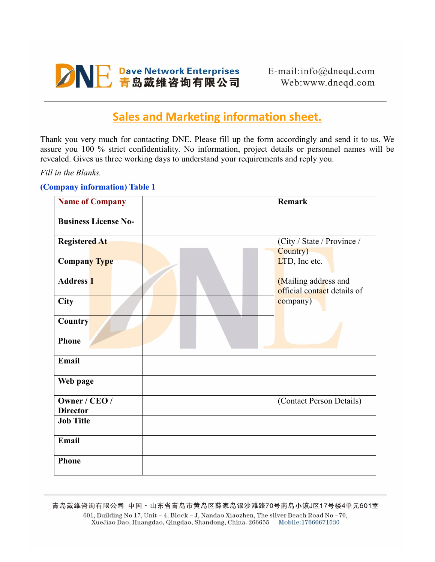

# **Sales and Marketing information sheet.**

Thank you very much for contacting DNE. Please fill up the form accordingly and send it to us. We assure you 100 % strict confidentiality. No information, project details or personnel names will be revealed. Gives us three working days to understand your requirements and reply you.

*Fill in the Blanks.*

#### **(Company information) Table 1**

| <b>Name of Company</b>           | Remark                                              |
|----------------------------------|-----------------------------------------------------|
| <b>Business License No-</b>      |                                                     |
| <b>Registered At</b>             | (City / State / Province /<br>Country)              |
| <b>Company Type</b>              | LTD, Inc etc.                                       |
| <b>Address 1</b>                 | (Mailing address and<br>official contact details of |
| City                             | company)                                            |
| <b>Country</b>                   |                                                     |
| <b>Phone</b>                     |                                                     |
| Email                            |                                                     |
| Web page                         |                                                     |
| Owner / CEO /<br><b>Director</b> | (Contact Person Details)                            |
| <b>Job Title</b>                 |                                                     |
| Email                            |                                                     |
| <b>Phone</b>                     |                                                     |

青岛戴维咨询有限公司 中国·山东省青岛市黄岛区薛家岛银沙滩路70号南岛小镇J区17号楼4单元601室 601, Building No 17, Unit - 4, Block - J, Nandao Xiaozhen, The silver Beach Road No -70, XueJiao Dao, Huangdao, Qingdao, Shandong, China. 266655 Mobile:17660671530